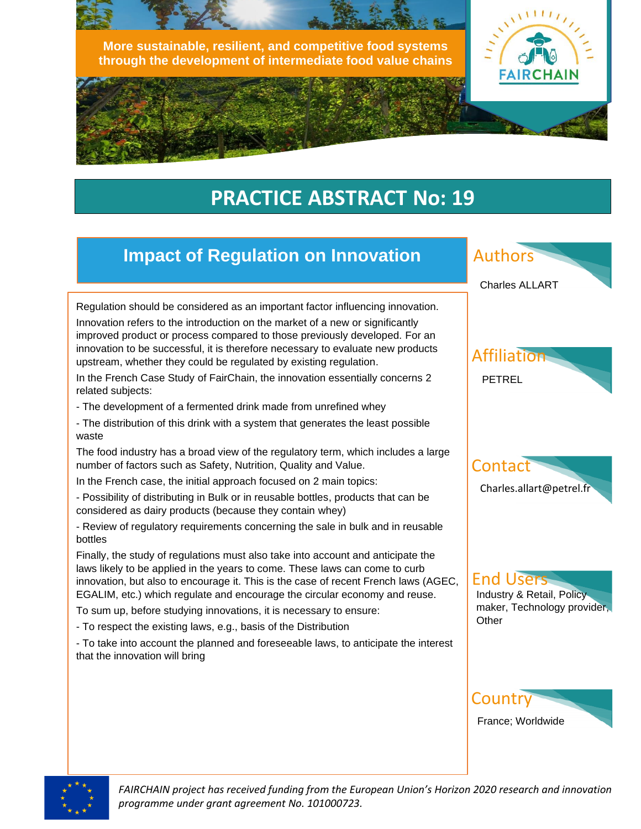



# **PRACTICE ABSTRACT No: 19**

### **Impact of Regulation on Innovation**

Regulation should be considered as an important factor influencing innovation.

Innovation refers to the introduction on the market of a new or significantly improved product or process compared to those previously developed. For an innovation to be successful, it is therefore necessary to evaluate new products upstream, whether they could be regulated by existing regulation.

In the French Case Study of FairChain, the innovation essentially concerns 2 related subjects:

- The development of a fermented drink made from unrefined whey
- The distribution of this drink with a system that generates the least possible waste

The food industry has a broad view of the regulatory term, which includes a large number of factors such as Safety, Nutrition, Quality and Value.

In the French case, the initial approach focused on 2 main topics:

- Possibility of distributing in Bulk or in reusable bottles, products that can be considered as dairy products (because they contain whey)

- Review of regulatory requirements concerning the sale in bulk and in reusable bottles

Finally, the study of regulations must also take into account and anticipate the laws likely to be applied in the years to come. These laws can come to curb innovation, but also to encourage it. This is the case of recent French laws (AGEC, EGALIM, etc.) which regulate and encourage the circular economy and reuse.

To sum up, before studying innovations, it is necessary to ensure:

- To respect the existing laws, e.g., basis of the Distribution

- To take into account the planned and foreseeable laws, to anticipate the interest that the innovation will bring



France; Worldwide



ļ

*FAIRCHAIN project has received funding from the European Union's Horizon 2020 research and innovation programme under grant agreement No. 101000723.*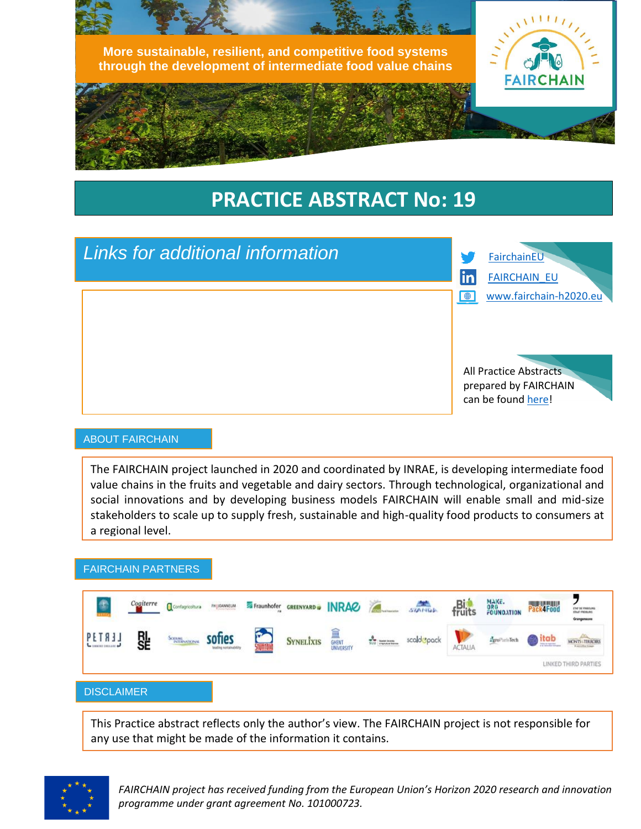

# **PRACTICE ABSTRACT No: 19**



#### ABOUT FAIRCHAIN

The FAIRCHAIN project launched in 2020 and coordinated by INRAE, is developing intermediate food value chains in the fruits and vegetable and dairy sectors. Through technological, organizational and social innovations and by developing business models FAIRCHAIN will enable small and mid-size stakeholders to scale up to supply fresh, sustainable and high-quality food products to consumers at a regional level.

#### FAIRCHAIN PARTNERS



This Practice abstract reflects only the author's view. The FAIRCHAIN project is not responsible for any use that might be made of the information it contains.